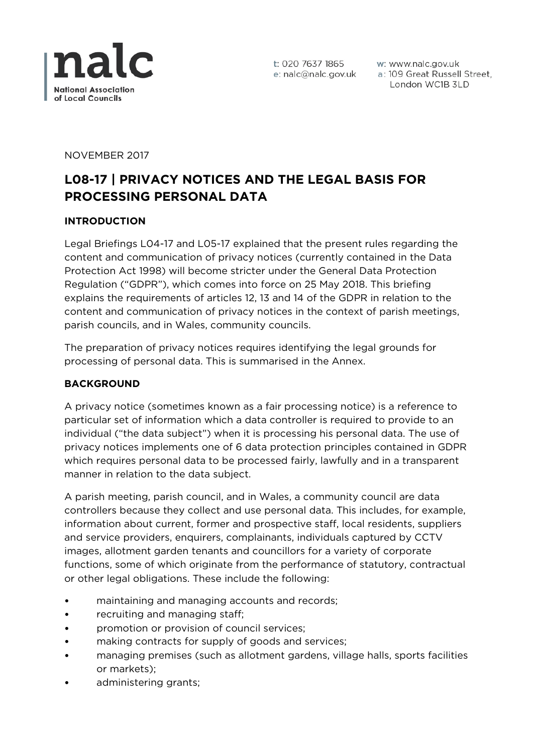

w: www.nalc.gov.uk a: 109 Great Russell Street, London WC1B 3LD

NOVEMBER 2017

# **L08-17 | PRIVACY NOTICES AND THE LEGAL BASIS FOR PROCESSING PERSONAL DATA**

## **INTRODUCTION**

Legal Briefings L04-17 and L05-17 explained that the present rules regarding the content and communication of privacy notices (currently contained in the Data Protection Act 1998) will become stricter under the General Data Protection Regulation ("GDPR"), which comes into force on 25 May 2018. This briefing explains the requirements of articles 12, 13 and 14 of the GDPR in relation to the content and communication of privacy notices in the context of parish meetings, parish councils, and in Wales, community councils.

The preparation of privacy notices requires identifying the legal grounds for processing of personal data. This is summarised in the Annex.

## **BACKGROUND**

A privacy notice (sometimes known as a fair processing notice) is a reference to particular set of information which a data controller is required to provide to an individual ("the data subject") when it is processing his personal data. The use of privacy notices implements one of 6 data protection principles contained in GDPR which requires personal data to be processed fairly, lawfully and in a transparent manner in relation to the data subject.

A parish meeting, parish council, and in Wales, a community council are data controllers because they collect and use personal data. This includes, for example, information about current, former and prospective staff, local residents, suppliers and service providers, enquirers, complainants, individuals captured by CCTV images, allotment garden tenants and councillors for a variety of corporate functions, some of which originate from the performance of statutory, contractual or other legal obligations. These include the following:

- maintaining and managing accounts and records;
- recruiting and managing staff;
- promotion or provision of council services;
- making contracts for supply of goods and services;
- managing premises (such as allotment gardens, village halls, sports facilities or markets);
- administering grants;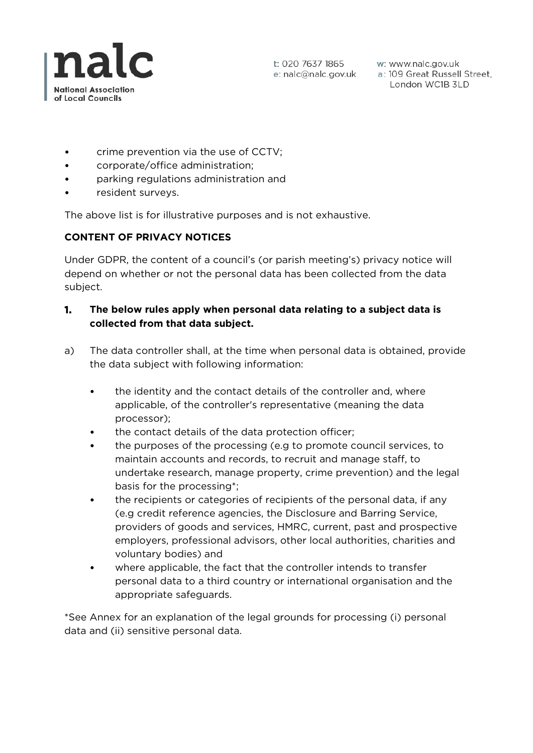

w: www.nalc.gov.uk a: 109 Great Russell Street, London WC1B 3LD

- crime prevention via the use of CCTV;
- corporate/office administration;
- parking regulations administration and
- resident surveys.

The above list is for illustrative purposes and is not exhaustive.

# **CONTENT OF PRIVACY NOTICES**

Under GDPR, the content of a council's (or parish meeting's) privacy notice will depend on whether or not the personal data has been collected from the data subject.

## **1. The below rules apply when personal data relating to a subject data is collected from that data subject.**

- a) The data controller shall, at the time when personal data is obtained, provide the data subject with following information:
	- the identity and the contact details of the controller and, where applicable, of the controller's representative (meaning the data processor);
	- the contact details of the data protection officer;
	- the purposes of the processing (e.g to promote council services, to maintain accounts and records, to recruit and manage staff, to undertake research, manage property, crime prevention) and the legal basis for the processing\*;
	- the recipients or categories of recipients of the personal data, if any (e.g credit reference agencies, the Disclosure and Barring Service, providers of goods and services, HMRC, current, past and prospective employers, professional advisors, other local authorities, charities and voluntary bodies) and
	- where applicable, the fact that the controller intends to transfer personal data to a third country or international organisation and the appropriate safeguards.

\*See Annex for an explanation of the legal grounds for processing (i) personal data and (ii) sensitive personal data.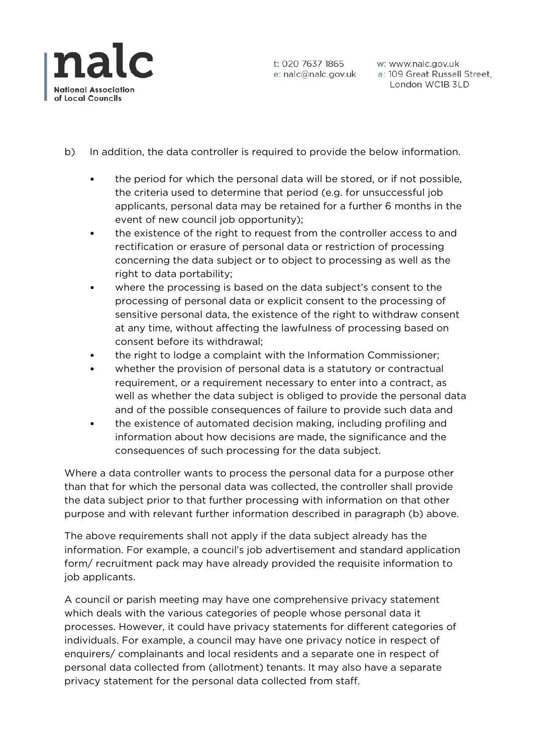

w: www.nalc.gov.uk a: 109 Great Russell Street, London WC1B 3LD

- b) In addition, the data controller is required to provide the below information.
	- the period for which the personal data will be stored, or if not possible, the criteria used to determine that period (e.g. for unsuccessful job applicants, personal data may be retained for a further 6 months in the event of new council job opportunity);
	- the existence of the right to request from the controller access to and rectification or erasure of personal data or restriction of processing concerning the data subject or to object to processing as well as the right to data portability;
	- where the processing is based on the data subject's consent to the processing of personal data or explicit consent to the processing of sensitive personal data, the existence of the right to withdraw consent at any time, without affecting the lawfulness of processing based on consent before its withdrawal;
	- the right to lodge a complaint with the Information Commissioner;
	- whether the provision of personal data is a statutory or contractual requirement, or a requirement necessary to enter into a contract, as well as whether the data subject is obliged to provide the personal data and of the possible consequences of failure to provide such data and
	- the existence of automated decision making, including profiling and information about how decisions are made, the significance and the consequences of such processing for the data subject.

Where a data controller wants to process the personal data for a purpose other than that for which the personal data was collected, the controller shall provide the data subject prior to that further processing with information on that other purpose and with relevant further information described in paragraph (b) above.

The above requirements shall not apply if the data subject already has the information. For example, a council's job advertisement and standard application form/ recruitment pack may have already provided the requisite information to job applicants.

A council or parish meeting may have one comprehensive privacy statement which deals with the various categories of people whose personal data it processes. However, it could have privacy statements for different categories of individuals. For example, a council may have one privacy notice in respect of enquirers/ complainants and local residents and a separate one in respect of personal data collected from (allotment) tenants. It may also have a separate privacy statement for the personal data collected from staff.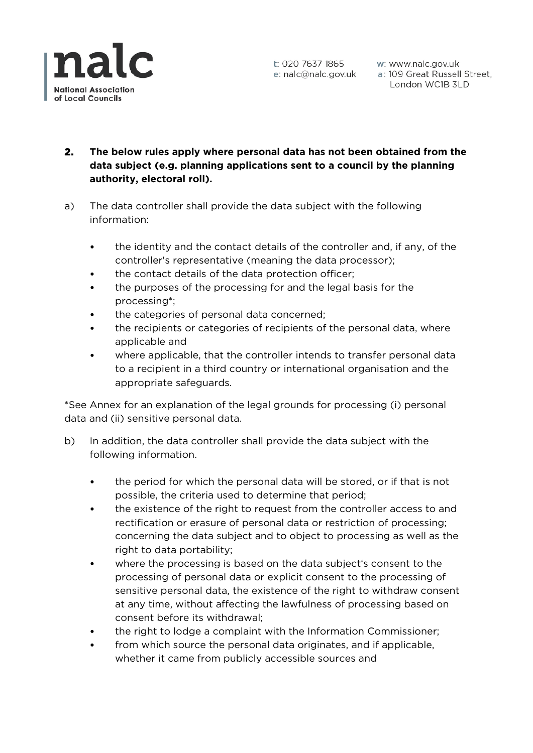

# **2. The below rules apply where personal data has not been obtained from the data subject (e.g. planning applications sent to a council by the planning authority, electoral roll).**

- a) The data controller shall provide the data subject with the following information:
	- the identity and the contact details of the controller and, if any, of the controller's representative (meaning the data processor);
	- the contact details of the data protection officer;
	- the purposes of the processing for and the legal basis for the processing\*;
	- the categories of personal data concerned;
	- the recipients or categories of recipients of the personal data, where applicable and
	- where applicable, that the controller intends to transfer personal data to a recipient in a third country or international organisation and the appropriate safeguards.

\*See Annex for an explanation of the legal grounds for processing (i) personal data and (ii) sensitive personal data.

- b) In addition, the data controller shall provide the data subject with the following information.
	- the period for which the personal data will be stored, or if that is not possible, the criteria used to determine that period;
	- the existence of the right to request from the controller access to and rectification or erasure of personal data or restriction of processing; concerning the data subject and to object to processing as well as the right to data portability;
	- where the processing is based on the data subiect's consent to the processing of personal data or explicit consent to the processing of sensitive personal data, the existence of the right to withdraw consent at any time, without affecting the lawfulness of processing based on consent before its withdrawal;
	- the right to lodge a complaint with the Information Commissioner;
	- from which source the personal data originates, and if applicable, whether it came from publicly accessible sources and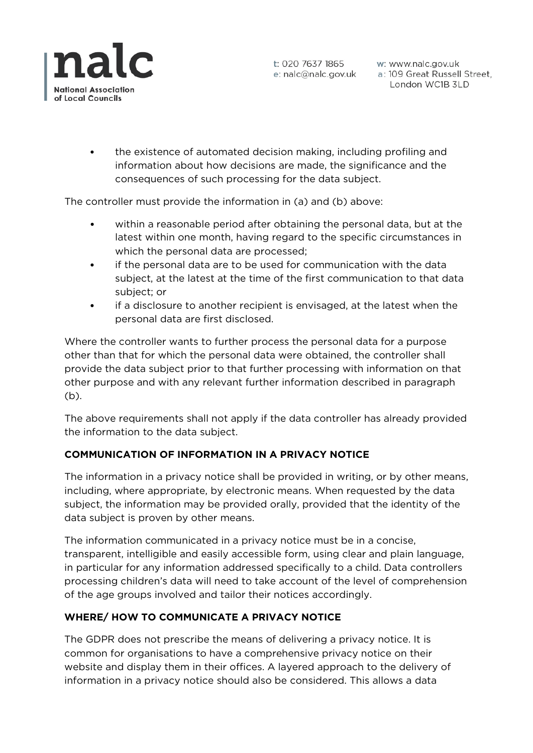

w: www.nalc.gov.uk a: 109 Great Russell Street, London WC1B 3LD

• the existence of automated decision making, including profiling and information about how decisions are made, the significance and the consequences of such processing for the data subject.

The controller must provide the information in (a) and (b) above:

- within a reasonable period after obtaining the personal data, but at the latest within one month, having regard to the specific circumstances in which the personal data are processed;
- if the personal data are to be used for communication with the data subject, at the latest at the time of the first communication to that data subject; or
- if a disclosure to another recipient is envisaged, at the latest when the personal data are first disclosed.

Where the controller wants to further process the personal data for a purpose other than that for which the personal data were obtained, the controller shall provide the data subject prior to that further processing with information on that other purpose and with any relevant further information described in paragraph (b).

The above requirements shall not apply if the data controller has already provided the information to the data subject.

# **COMMUNICATION OF INFORMATION IN A PRIVACY NOTICE**

The information in a privacy notice shall be provided in writing, or by other means, including, where appropriate, by electronic means. When requested by the data subject, the information may be provided orally, provided that the identity of the data subject is proven by other means.

The information communicated in a privacy notice must be in a concise, transparent, intelligible and easily accessible form, using clear and plain language, in particular for any information addressed specifically to a child. Data controllers processing children's data will need to take account of the level of comprehension of the age groups involved and tailor their notices accordingly.

# **WHERE/ HOW TO COMMUNICATE A PRIVACY NOTICE**

The GDPR does not prescribe the means of delivering a privacy notice. It is common for organisations to have a comprehensive privacy notice on their website and display them in their offices. A layered approach to the delivery of information in a privacy notice should also be considered. This allows a data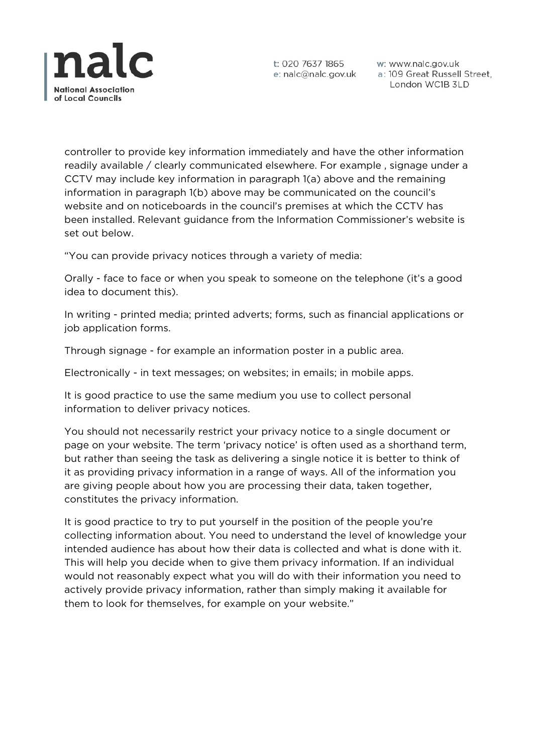

w: www.nalc.gov.uk a: 109 Great Russell Street, London WC1B 3LD

controller to provide key information immediately and have the other information readily available / clearly communicated elsewhere. For example , signage under a CCTV may include key information in paragraph 1(a) above and the remaining information in paragraph 1(b) above may be communicated on the council's website and on noticeboards in the council's premises at which the CCTV has been installed. Relevant guidance from the Information Commissioner's website is set out below.

"You can provide privacy notices through a variety of media:

Orally - face to face or when you speak to someone on the telephone (it's a good idea to document this).

In writing - printed media; printed adverts; forms, such as financial applications or job application forms.

Through signage - for example an information poster in a public area.

Electronically - in text messages; on websites; in emails; in mobile apps.

It is good practice to use the same medium you use to collect personal information to deliver privacy notices.

You should not necessarily restrict your privacy notice to a single document or page on your website. The term 'privacy notice' is often used as a shorthand term, but rather than seeing the task as delivering a single notice it is better to think of it as providing privacy information in a range of ways. All of the information you are giving people about how you are processing their data, taken together, constitutes the privacy information.

It is good practice to try to put yourself in the position of the people you're collecting information about. You need to understand the level of knowledge your intended audience has about how their data is collected and what is done with it. This will help you decide when to give them privacy information. If an individual would not reasonably expect what you will do with their information you need to actively provide privacy information, rather than simply making it available for them to look for themselves, for example on your website."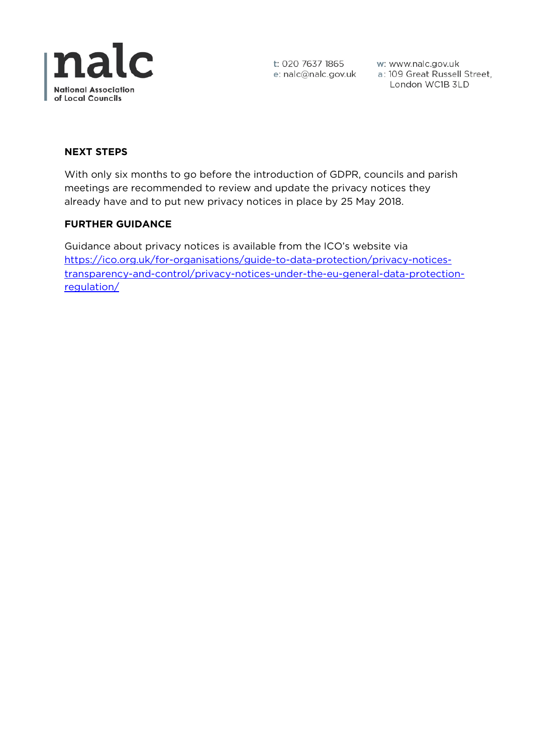

t: 020 7637 1865 w: www.nalc.gov.uk<br>e: nalc@nalc.gov.uk a: 109 Great Russell Street, London WC1B 3LD

## **NEXT STEPS**

With only six months to go before the introduction of GDPR, councils and parish meetings are recommended to review and update the privacy notices they already have and to put new privacy notices in place by 25 May 2018.

#### **FURTHER GUIDANCE**

Guidance about privacy notices is available from the ICO's website via [https://ico.org.uk/for-organisations/guide-to-data-protection/privacy-notices](https://ico.org.uk/for-organisations/guide-to-data-protection/privacy-notices-transparency-and-control/privacy-notices-under-the-eu-general-data-protection-regulation/)[transparency-and-control/privacy-notices-under-the-eu-general-data-protection](https://ico.org.uk/for-organisations/guide-to-data-protection/privacy-notices-transparency-and-control/privacy-notices-under-the-eu-general-data-protection-regulation/)[regulation/](https://ico.org.uk/for-organisations/guide-to-data-protection/privacy-notices-transparency-and-control/privacy-notices-under-the-eu-general-data-protection-regulation/)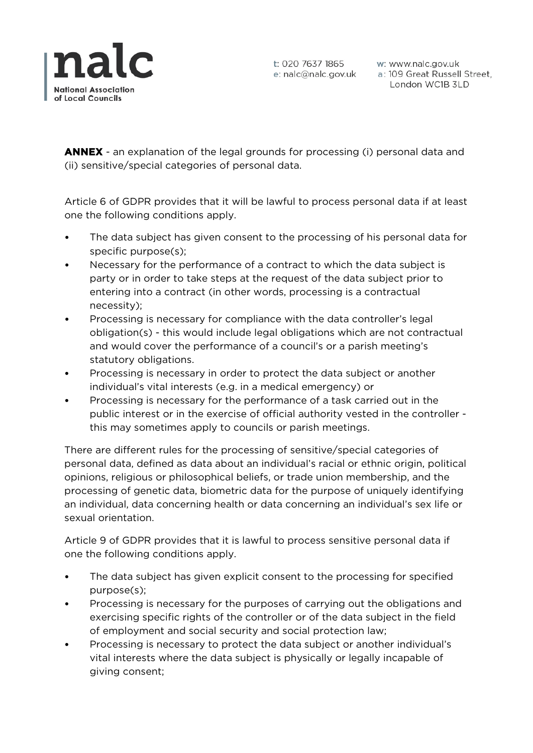

w: www.nalc.gov.uk a: 109 Great Russell Street, London WC1B 3LD

**ANNEX** - an explanation of the legal grounds for processing (i) personal data and (ii) sensitive/special categories of personal data.

Article 6 of GDPR provides that it will be lawful to process personal data if at least one the following conditions apply.

- The data subject has given consent to the processing of his personal data for specific purpose(s);
- Necessary for the performance of a contract to which the data subject is party or in order to take steps at the request of the data subject prior to entering into a contract (in other words, processing is a contractual necessity);
- Processing is necessary for compliance with the data controller's legal obligation(s) - this would include legal obligations which are not contractual and would cover the performance of a council's or a parish meeting's statutory obligations.
- Processing is necessary in order to protect the data subject or another individual's vital interests (e.g. in a medical emergency) or
- Processing is necessary for the performance of a task carried out in the public interest or in the exercise of official authority vested in the controller this may sometimes apply to councils or parish meetings.

There are different rules for the processing of sensitive/special categories of personal data, defined as data about an individual's racial or ethnic origin, political opinions, religious or philosophical beliefs, or trade union membership, and the processing of genetic data, biometric data for the purpose of uniquely identifying an individual, data concerning health or data concerning an individual's sex life or sexual orientation.

Article 9 of GDPR provides that it is lawful to process sensitive personal data if one the following conditions apply.

- The data subject has given explicit consent to the processing for specified purpose(s);
- Processing is necessary for the purposes of carrying out the obligations and exercising specific rights of the controller or of the data subject in the field of employment and social security and social protection law;
- Processing is necessary to protect the data subject or another individual's vital interests where the data subject is physically or legally incapable of giving consent;